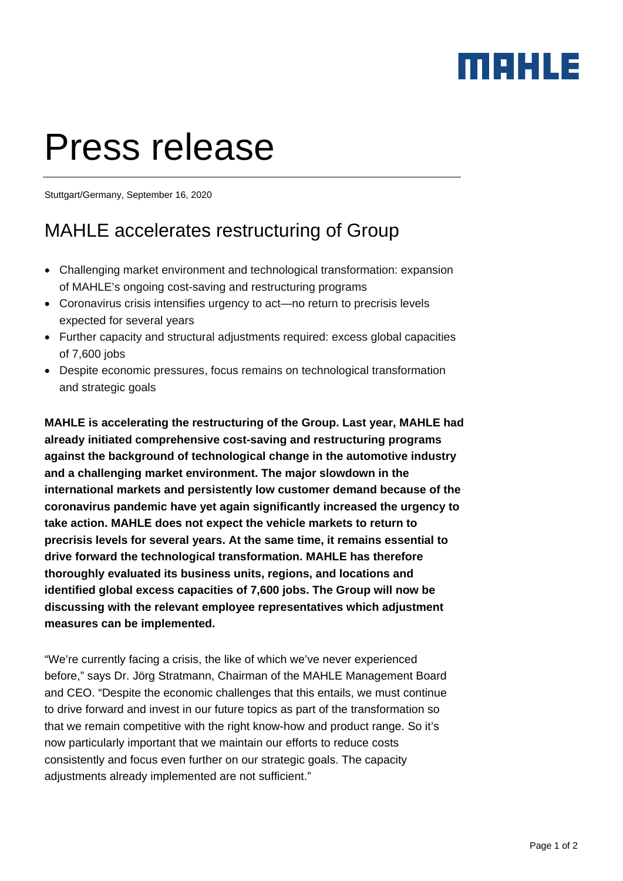## MEHLE

# Press release

Stuttgart/Germany, September 16, 2020

## MAHLE accelerates restructuring of Group

- Challenging market environment and technological transformation: expansion of MAHLE's ongoing cost-saving and restructuring programs
- Coronavirus crisis intensifies urgency to act—no return to precrisis levels expected for several years
- Further capacity and structural adjustments required: excess global capacities of 7,600 jobs
- Despite economic pressures, focus remains on technological transformation and strategic goals

**MAHLE is accelerating the restructuring of the Group. Last year, MAHLE had already initiated comprehensive cost-saving and restructuring programs against the background of technological change in the automotive industry and a challenging market environment. The major slowdown in the international markets and persistently low customer demand because of the coronavirus pandemic have yet again significantly increased the urgency to take action. MAHLE does not expect the vehicle markets to return to precrisis levels for several years. At the same time, it remains essential to drive forward the technological transformation. MAHLE has therefore thoroughly evaluated its business units, regions, and locations and identified global excess capacities of 7,600 jobs. The Group will now be discussing with the relevant employee representatives which adjustment measures can be implemented.** 

"We're currently facing a crisis, the like of which we've never experienced before," says Dr. Jörg Stratmann, Chairman of the MAHLE Management Board and CEO. "Despite the economic challenges that this entails, we must continue to drive forward and invest in our future topics as part of the transformation so that we remain competitive with the right know-how and product range. So it's now particularly important that we maintain our efforts to reduce costs consistently and focus even further on our strategic goals. The capacity adjustments already implemented are not sufficient."